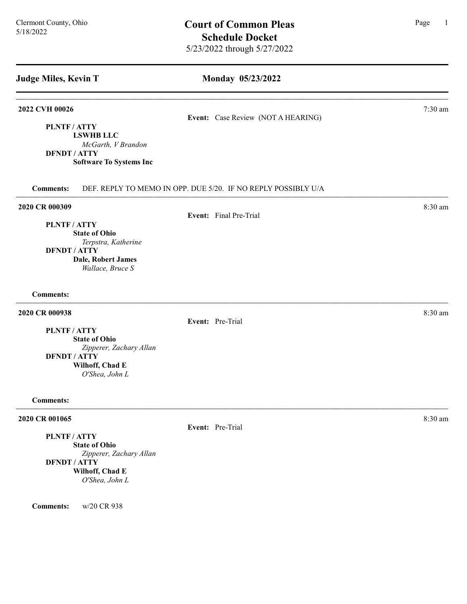PLNTF / ATTY

DFNDT / ATTY

## Monday 05/23/2022

#### 2022 CVH 00026 7:30 am

## Event: Case Review (NOT A HEARING)

2020 CR 000309 8:30 am 2020 8:30 am 2020 6 8:30 am 3:30 am 3:30 am 3:30 am 3:30 am 3:30 am 3:30 am 3:30 am 3:30 am 3:30 am 3:30 am 3:30 am 3:30 am 3:30 am 3:30 am 3:30 am 3:30 am 3:30 am 3:30 am 3:30 am 3:30 am 3:30 am 3:3

## PLNTF / ATTY

## Event: Final Pre-Trial

Comments: DEF. REPLY TO MEMO IN OPP. DUE 5/20. IF NO REPLY POSSIBLY U/A

State of Ohio Terpstra, Katherine DFNDT / ATTY Dale, Robert James Wallace, Bruce S

LSWHB LLC

McGarth, V Brandon

Software To Systems Inc

Comments:

## **2020 CR 000938** 8:30 am **8:30 am**

Event: Pre-Trial

Event: Pre-Trial

PLNTF / ATTY

State of Ohio Zipperer, Zachary Allan DFNDT / ATTY Wilhoff, Chad E O'Shea, John L

Comments:

## **2020 CR 001065** 8:30 am **8:30 am**

PLNTF / ATTY

State of Ohio Zipperer, Zachary Allan DFNDT / ATTY Wilhoff, Chad E O'Shea, John L

Comments: w/20 CR 938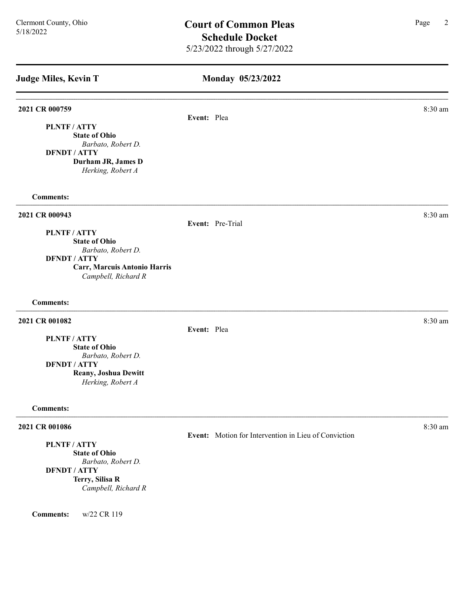## Monday 05/23/2022

#### 2021 CR 000759 8:30 am and 2021 CR 000759

Event: Plea

PLNTF / ATTY State of Ohio Barbato, Robert D. DFNDT / ATTY

> Durham JR, James D Herking, Robert A

Comments:

## **2021 CR 000943** 8:30 am **8.30 am**

Event: Pre-Trial

Event: Plea

PLNTF / ATTY State of Ohio Barbato, Robert D. DFNDT / ATTY

Carr, Marcuis Antonio Harris Campbell, Richard R

## Comments:

## **2021 CR 001082** 8:30 am **8.2021**

PLNTF / ATTY

State of Ohio Barbato, Robert D. DFNDT / ATTY Reany, Joshua Dewitt Herking, Robert A

#### Comments:

#### **2021 CR 001086** 8:30 am **8:30 am**

PLNTF / ATTY

State of Ohio Barbato, Robert D. DFNDT / ATTY Terry, Silisa R Campbell, Richard R

Comments: w/22 CR 119

Event: Motion for Intervention in Lieu of Conviction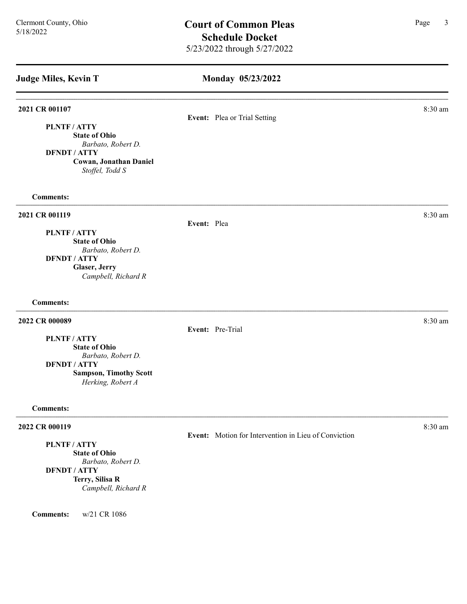## Monday 05/23/2022

# **2021 CR 001107** 8:30 am **8.30 am** Event: Plea or Trial Setting PLNTF / ATTY State of Ohio Barbato, Robert D. DFNDT / ATTY Cowan, Jonathan Daniel Stoffel, Todd S Comments: **2021 CR 001119** 8:30 am **8:30 am** Event: Plea PLNTF / ATTY State of Ohio Barbato, Robert D. DFNDT / ATTY Glaser, Jerry Campbell, Richard R Comments: **2022 CR 000089** 8:30 am **8:30 am** Event: Pre-Trial PLNTF / ATTY State of Ohio Barbato, Robert D. DFNDT / ATTY Sampson, Timothy Scott Herking, Robert A

#### Comments:

## **2022 CR 000119** 8:30 am **8:30 am**

## PLNTF / ATTY

State of Ohio Barbato, Robert D. DFNDT / ATTY Terry, Silisa R Campbell, Richard R

Comments: w/21 CR 1086

# Event: Motion for Intervention in Lieu of Conviction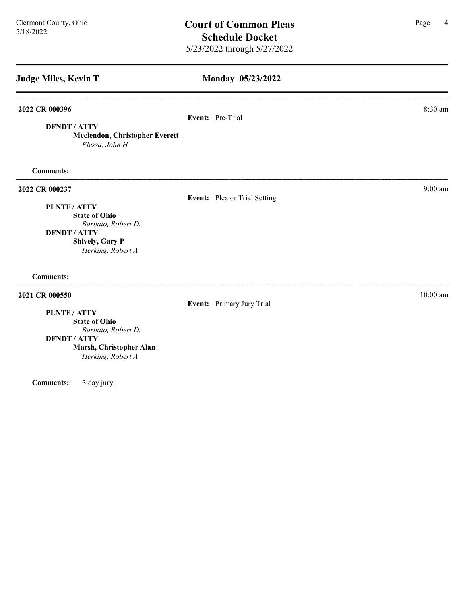Monday 05/23/2022 Judge Miles, Kevin T 2022 CR 000396 8:30 am 2022 CR 000396 Event: Pre-Trial DFNDT / ATTY Mcclendon, Christopher Everett Flessa, John H Comments: 2022 CR 000237 9:00 am 2022 CR 000237 Event: Plea or Trial Setting PLNTF / ATTY State of Ohio Barbato, Robert D. DFNDT / ATTY Shively, Gary P Herking, Robert A Comments: **2021 CR 000550** 10:00 am 10:00 am 10:00 am 10:00 am 10:00 am 10:00 am 10:00 am 10:00 am 10:00 am 10:00 am 10:00 am 10:00 am 10:00 am 10:00 am 10:00 am 10:00 am 10:00 am 10:00 am 10:00 am 10:00 am 10:00 am 10:00 am 10:00 a Event: Primary Jury Trial PLNTF / ATTY State of Ohio Barbato, Robert D. DFNDT / ATTY Marsh, Christopher Alan

Herking, Robert A

Comments: 3 day jury.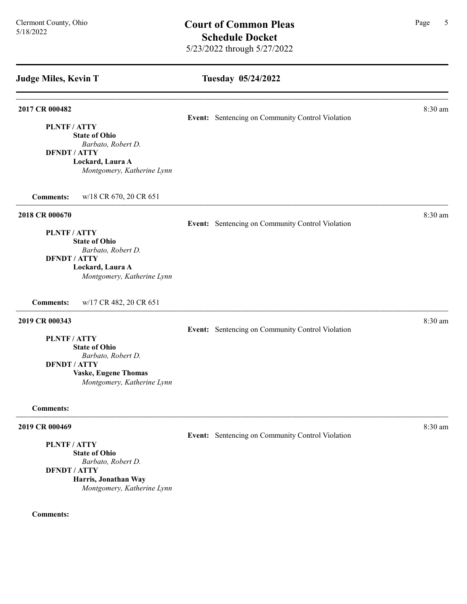#### Tuesday 05/24/2022

# **2017 CR 000482** 8:30 am **8.30 am** Event: Sentencing on Community Control Violation PLNTF / ATTY State of Ohio Barbato, Robert D. DFNDT / ATTY Lockard, Laura A Montgomery, Katherine Lynn Comments: w/18 CR 670, 20 CR 651 **2018 CR 000670** 8:30 am **8.30 am** Event: Sentencing on Community Control Violation PLNTF / ATTY State of Ohio Barbato, Robert D. DFNDT / ATTY Lockard, Laura A Montgomery, Katherine Lynn Comments: w/17 CR 482, 20 CR 651 **2019 CR 000343** 8:30 am **8:30 am** Event: Sentencing on Community Control Violation PLNTF / ATTY State of Ohio Barbato, Robert D. DFNDT / ATTY Vaske, Eugene Thomas Montgomery, Katherine Lynn Comments: **2019 CR 000469** 8:30 am **8:30 am** Event: Sentencing on Community Control Violation PLNTF / ATTY State of Ohio

Barbato, Robert D. DFNDT / ATTY Harris, Jonathan Way Montgomery, Katherine Lynn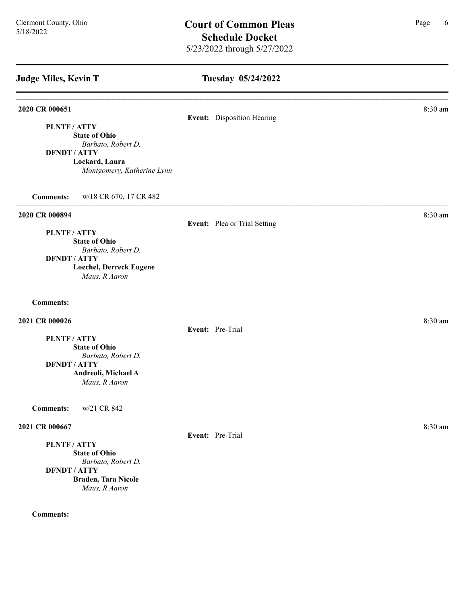## Tuesday 05/24/2022

#### **2020 CR 000651** 8:30 am **8:30 am**

## Event: Disposition Hearing

PLNTF / ATTY

State of Ohio Barbato, Robert D.

DFNDT / ATTY

Lockard, Laura Montgomery, Katherine Lynn

Comments: w/18 CR 670, 17 CR 482

### 2020 CR 000894 8:30 am

#### Event: Plea or Trial Setting

PLNTF / ATTY State of Ohio Barbato, Robert D. DFNDT / ATTY Loechel, Derreck Eugene Maus, R Aaron

# Comments:

## 2021 CR 000026 8:30 am

Event: Pre-Trial

PLNTF / ATTY State of Ohio Barbato, Robert D. DFNDT / ATTY

Andreoli, Michael A

Maus, R Aaron

Comments: w/21 CR 842

#### **2021 CR 000667** 8:30 am **8:30 am**

PLNTF / ATTY

State of Ohio Barbato, Robert D. DFNDT / ATTY Braden, Tara Nicole Maus, R Aaron

#### Comments:

Event: Pre-Trial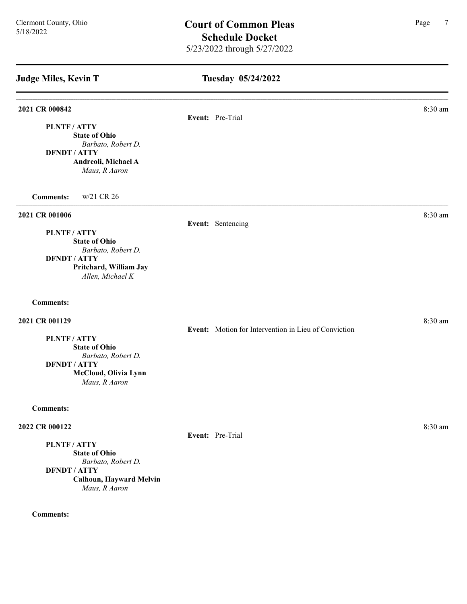| <b>Judge Miles, Kevin T</b>                                                                                                                          | Tuesday 05/24/2022                                   |         |
|------------------------------------------------------------------------------------------------------------------------------------------------------|------------------------------------------------------|---------|
| 2021 CR 000842                                                                                                                                       | Event: Pre-Trial                                     | 8:30 am |
| PLNTF / ATTY<br><b>State of Ohio</b><br>Barbato, Robert D.<br><b>DFNDT / ATTY</b><br>Andreoli, Michael A<br>Maus, R Aaron                            |                                                      |         |
| <b>Comments:</b><br>w/21 CR 26                                                                                                                       |                                                      |         |
| 2021 CR 001006<br>PLNTF / ATTY<br><b>State of Ohio</b><br>Barbato, Robert D.<br><b>DFNDT / ATTY</b><br>Pritchard, William Jay<br>Allen, Michael K    | Event: Sentencing                                    | 8:30 am |
| <b>Comments:</b>                                                                                                                                     |                                                      |         |
| 2021 CR 001129<br><b>PLNTF/ATTY</b><br><b>State of Ohio</b><br>Barbato, Robert D.<br><b>DFNDT / ATTY</b><br>McCloud, Olivia Lynn<br>Maus, R Aaron    | Event: Motion for Intervention in Lieu of Conviction | 8:30 am |
| <b>Comments:</b>                                                                                                                                     |                                                      |         |
| 2022 CR 000122<br>PLNTF/ATTY<br><b>State of Ohio</b><br>Barbato, Robert D.<br><b>DFNDT / ATTY</b><br>Calhoun, Hayward Melvin<br>$M$ aug $D$ $A$ augu | Event: Pre-Trial                                     | 8:30 am |

Maus, R Aaron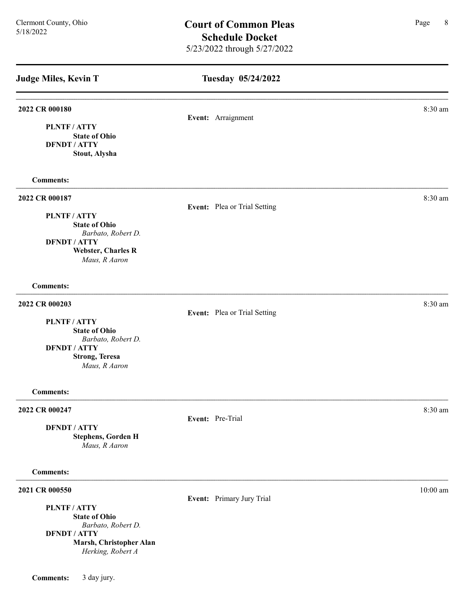Tuesday 05/24/2022 Judge Miles, Kevin T **2022 CR 000180** 8:30 am **8.30 am** Event: Arraignment State of Ohio PLNTF / ATTY DFNDT / ATTY Stout, Alysha Comments: 2022 CR 000187 8:30 am and 2022 CR 000187 Event: Plea or Trial Setting PLNTF / ATTY State of Ohio Barbato, Robert D. DFNDT / ATTY Webster, Charles R Maus, R Aaron Comments: 2022 CR 000203 8:30 am **8** Event: Plea or Trial Setting PLNTF / ATTY State of Ohio Barbato, Robert D. DFNDT / ATTY Strong, Teresa Maus, R Aaron Comments: 2022 CR 000247 8:30 am and 2022 CR 000247 Event: Pre-Trial DFNDT / ATTY Stephens, Gorden H Maus, R Aaron Comments: **2021 CR 000550** 10:00 am 10:00 am 10:00 am 10:00 am 10:00 am 10:00 am 10:00 am 10:00 am 10:00 am 10:00 am 10:00 am 10:00 am 10:00 am 10:00 am 10:00 am 10:00 am 10:00 am 10:00 am 10:00 am 10:00 am 10:00 am 10:00 am 10:00 a Event: Primary Jury Trial PLNTF / ATTY State of Ohio Barbato, Robert D. DFNDT / ATTY Marsh, Christopher Alan Herking, Robert A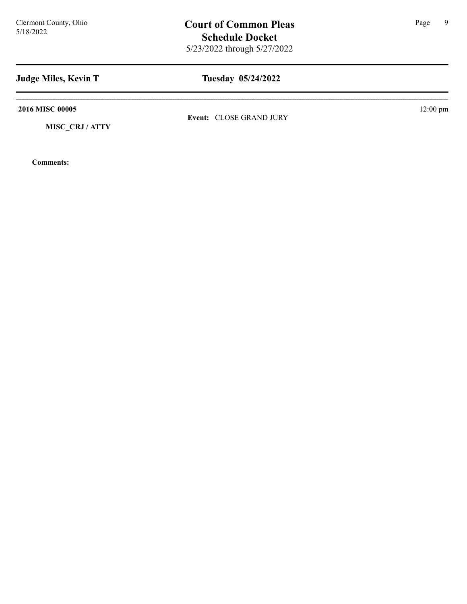5/18/2022

# Judge Miles, Kevin T

# Tuesday 05/24/2022

2016 MISC 00005 12:00 pm

MISC\_CRJ / ATTY

Comments:

Event: CLOSE GRAND JURY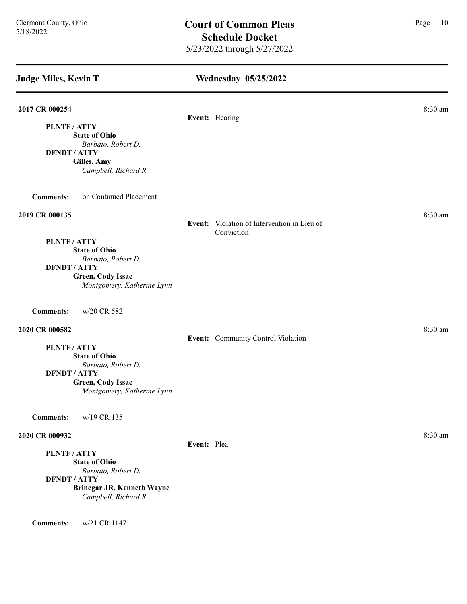### Wednesday 05/25/2022

# **2017 CR 000254** 8:30 am **8.30 am** Event: Hearing PLNTF / ATTY State of Ohio Barbato, Robert D. DFNDT / ATTY Gilles, Amy Campbell, Richard R Comments: on Continued Placement **2019 CR 000135** 8:30 am **8:30 am** Event: Violation of Intervention in Lieu of Conviction PLNTF / ATTY State of Ohio Barbato, Robert D. DFNDT / ATTY Green, Cody Issac Montgomery, Katherine Lynn Comments: w/20 CR 582 **2020 CR 000582** 8:30 am **8:30 am** Event: Community Control Violation PLNTF / ATTY State of Ohio Barbato, Robert D. DFNDT / ATTY Green, Cody Issac Montgomery, Katherine Lynn Comments: w/19 CR 135 2020 CR 000932 8:30 am Event: Plea PLNTF / ATTY State of Ohio Barbato, Robert D. DFNDT / ATTY Brinegar JR, Kenneth Wayne Campbell, Richard R

Comments: w/21 CR 1147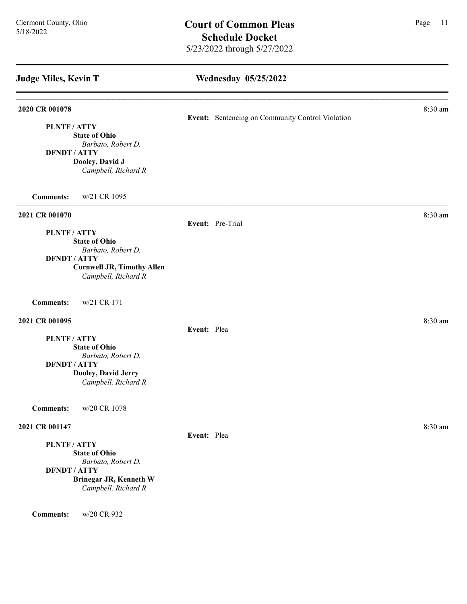# Wednesday 05/25/2022

| 2020 CR 001078                    |                                                  | 8:30 am |
|-----------------------------------|--------------------------------------------------|---------|
|                                   | Event: Sentencing on Community Control Violation |         |
| PLNTF / ATTY                      |                                                  |         |
| <b>State of Ohio</b>              |                                                  |         |
| Barbato, Robert D.                |                                                  |         |
| <b>DFNDT / ATTY</b>               |                                                  |         |
| Dooley, David J                   |                                                  |         |
| Campbell, Richard R               |                                                  |         |
| w/21 CR 1095<br><b>Comments:</b>  |                                                  |         |
| 2021 CR 001070                    |                                                  | 8:30 am |
|                                   | Event: Pre-Trial                                 |         |
| PLNTF / ATTY                      |                                                  |         |
| <b>State of Ohio</b>              |                                                  |         |
| Barbato, Robert D.                |                                                  |         |
| <b>DFNDT / ATTY</b>               |                                                  |         |
| <b>Cornwell JR, Timothy Allen</b> |                                                  |         |
| Campbell, Richard R               |                                                  |         |
| w/21 CR 171<br><b>Comments:</b>   |                                                  |         |
| 2021 CR 001095                    |                                                  | 8:30 am |
|                                   | Event: Plea                                      |         |
| PLNTF / ATTY                      |                                                  |         |
| <b>State of Ohio</b>              |                                                  |         |
| Barbato, Robert D.                |                                                  |         |
| <b>DFNDT / ATTY</b>               |                                                  |         |
| Dooley, David Jerry               |                                                  |         |
| Campbell, Richard R               |                                                  |         |
| <b>Comments:</b><br>w/20 CR 1078  |                                                  |         |
| 2021 CR 001147                    |                                                  | 8:30 am |
|                                   | Event: Plea                                      |         |
| PLNTF / ATTY                      |                                                  |         |
| <b>State of Ohio</b>              |                                                  |         |

Barbato, Robert D. DFNDT / ATTY Brinegar JR, Kenneth W Campbell, Richard R

Comments: w/20 CR 932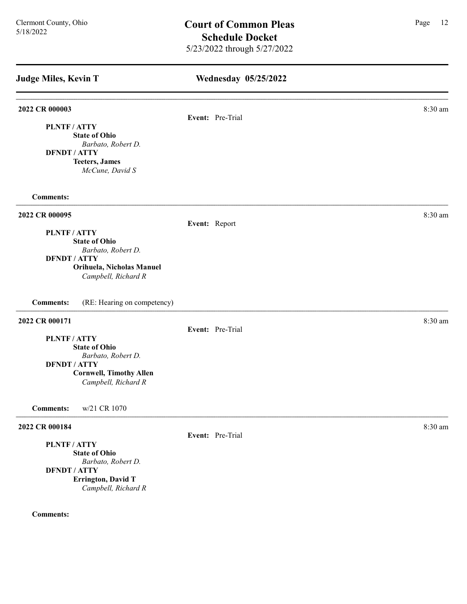# Wednesday 05/25/2022 Judge Miles, Kevin T **2022 CR 000003** 8:30 am **8.30 am** Event: Pre-Trial PLNTF / ATTY State of Ohio Barbato, Robert D. DFNDT / ATTY Teeters, James McCune, David S Comments: 2022 CR 000095 8:30 am Event: Report PLNTF / ATTY State of Ohio Barbato, Robert D. DFNDT / ATTY Orihuela, Nicholas Manuel Campbell, Richard R Comments: (RE: Hearing on competency) 2022 CR 000171 8:30 am 2022 CR 000171 Event: Pre-Trial PLNTF / ATTY State of Ohio Barbato, Robert D. DFNDT / ATTY Cornwell, Timothy Allen Campbell, Richard R Comments: w/21 CR 1070 **2022 CR 000184** 8:30 am **8:30 am** Event: Pre-Trial PLNTF / ATTY State of Ohio Barbato, Robert D. DFNDT / ATTY

Campbell, Richard R

Errington, David T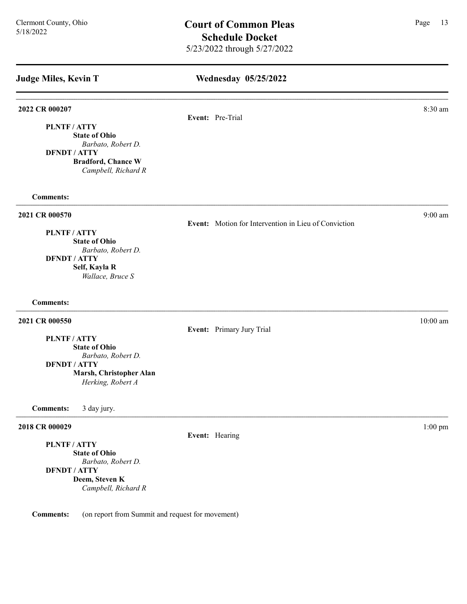PLNTF / ATTY

### Wednesday 05/25/2022

Event: Motion for Intervention in Lieu of Conviction

## 2022 CR 000207 8:30 am **8.30 am**

Event: Pre-Trial

State of Ohio Barbato, Robert D.

DFNDT / ATTY Bradford, Chance W Campbell, Richard R

Comments:

#### 2021 CR 000570 9:00 am 9:00 9:00 am 9:00 9:00 am 9:00 9:00 am 9:00 9:00 am 9:00 9:00 am 9:00 9:00 am 9:00 9:00 am 9:00 am 9:00 9:00 am 9:00 9:00 am 9:00 9:00 am 9:00 9:00 am 9:00 9:00 am 9:00 9:00 am 9:00 9:00 am 9:00 9:00

PLNTF / ATTY

State of Ohio Barbato, Robert D. DFNDT / ATTY Self, Kayla R Wallace, Bruce S

## Comments:

## **2021 CR 000550** 10:00 am **10:00 am**

Event: Primary Jury Trial

PLNTF / ATTY State of Ohio

Barbato, Robert D.

DFNDT / ATTY

Marsh, Christopher Alan Herking, Robert A

Comments: 3 day jury.

#### **2018 CR 000029** 1:00 pm

PLNTF / ATTY

State of Ohio Barbato, Robert D. DFNDT / ATTY Deem, Steven K Campbell, Richard R

Comments: (on report from Summit and request for movement)

Event: Hearing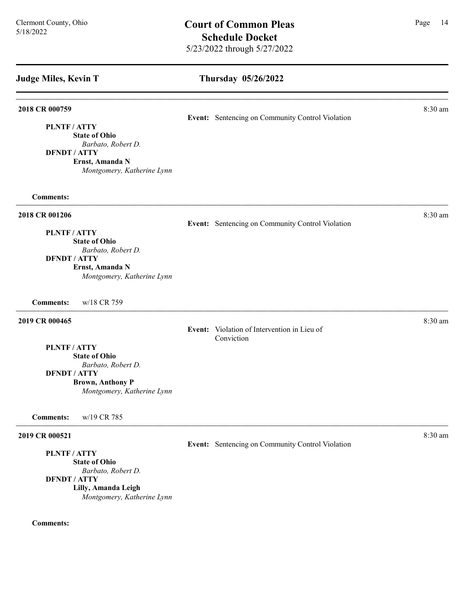#### Thursday 05/26/2022

| $8:30 \text{ am}$ |
|-------------------|
|                   |

PLNTF / ATTY

State of Ohio Barbato, Robert D.

DFNDT / ATTY

Ernst, Amanda N Montgomery, Katherine Lynn

Comments:

**2018 CR 001206** 8:30 am **8:30 am** 

Event: Sentencing on Community Control Violation

Event: Sentencing on Community Control Violation

PLNTF / ATTY

State of Ohio Barbato, Robert D.

DFNDT / ATTY

Ernst, Amanda N Montgomery, Katherine Lynn

Comments: w/18 CR 759

## **2019 CR 000465** 8:30 am **8:30 am**

Event: Violation of Intervention in Lieu of Conviction

PLNTF / ATTY State of Ohio

Barbato, Robert D. DFNDT / ATTY

Brown, Anthony P

Montgomery, Katherine Lynn

Comments: w/19 CR 785

#### **2019 CR 000521** 8:30 am **8:30 am**

PLNTF / ATTY

State of Ohio Barbato, Robert D.

DFNDT / ATTY

Lilly, Amanda Leigh

Montgomery, Katherine Lynn

### Comments:

Event: Sentencing on Community Control Violation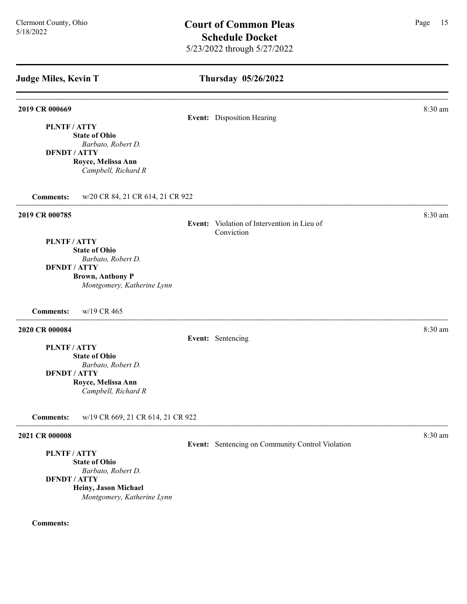## Thursday 05/26/2022

# **2019 CR 000669** 8:30 am **8:30 am** Event: Disposition Hearing PLNTF / ATTY State of Ohio Barbato, Robert D. DFNDT / ATTY Royce, Melissa Ann Campbell, Richard R Comments: w/20 CR 84, 21 CR 614, 21 CR 922 2019 CR 000785 8:30 am Event: Violation of Intervention in Lieu of Conviction PLNTF / ATTY State of Ohio Barbato, Robert D. DFNDT / ATTY Brown, Anthony P Montgomery, Katherine Lynn Comments: w/19 CR 465 **2020 CR 000084** 8:30 am **8:30 am** Event: Sentencing PLNTF / ATTY State of Ohio Barbato, Robert D. DFNDT / ATTY Royce, Melissa Ann Campbell, Richard R Comments: w/19 CR 669, 21 CR 614, 21 CR 922 **2021 CR 000008** 8:30 am **8:30 am** Event: Sentencing on Community Control Violation PLNTF / ATTY

State of Ohio Barbato, Robert D.

DFNDT / ATTY

Heiny, Jason Michael Montgomery, Katherine Lynn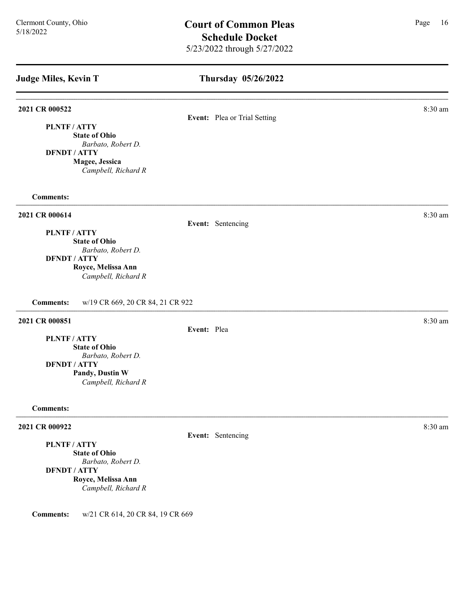# Thursday 05/26/2022

#### **2021 CR 000522** 8:30 am

# Event: Plea or Trial Setting

PLNTF / ATTY State of Ohio Barbato, Robert D. DFNDT / ATTY

Magee, Jessica

Campbell, Richard R

#### Comments:

## **2021 CR 000614** 8:30 am **8:30 am**

#### Event: Sentencing

PLNTF / ATTY State of Ohio Barbato, Robert D. DFNDT / ATTY Royce, Melissa Ann

Campbell, Richard R

Comments: w/19 CR 669, 20 CR 84, 21 CR 922

## **2021 CR 000851** 8:30 am **8:30 am**

Event: Plea

PLNTF / ATTY State of Ohio Barbato, Robert D. DFNDT / ATTY Pandy, Dustin W Campbell, Richard R

#### Comments:

#### **2021 CR 000922** 8:30 am

PLNTF / ATTY

State of Ohio Barbato, Robert D. DFNDT / ATTY Royce, Melissa Ann Campbell, Richard R

Comments: w/21 CR 614, 20 CR 84, 19 CR 669

Event: Sentencing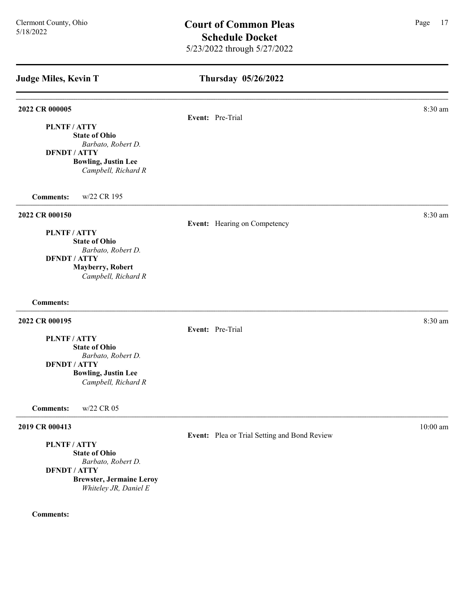| <b>Judge Miles, Kevin T</b>                                                                                                                   | Thursday 05/26/2022                          |            |
|-----------------------------------------------------------------------------------------------------------------------------------------------|----------------------------------------------|------------|
| 2022 CR 000005<br><b>PLNTF/ATTY</b>                                                                                                           | Event: Pre-Trial                             | 8:30 am    |
| <b>State of Ohio</b><br>Barbato, Robert D.<br><b>DFNDT / ATTY</b><br><b>Bowling, Justin Lee</b><br>Campbell, Richard R                        |                                              |            |
| <b>Comments:</b><br>w/22 CR 195                                                                                                               |                                              |            |
| 2022 CR 000150<br>PLNTF / ATTY                                                                                                                | Event: Hearing on Competency                 | 8:30 am    |
| <b>State of Ohio</b><br>Barbato, Robert D.<br><b>DFNDT / ATTY</b><br><b>Mayberry, Robert</b><br>Campbell, Richard R                           |                                              |            |
| <b>Comments:</b>                                                                                                                              |                                              |            |
| 2022 CR 000195                                                                                                                                | Event: Pre-Trial                             | 8:30 am    |
| PLNTF / ATTY<br><b>State of Ohio</b><br>Barbato, Robert D.                                                                                    |                                              |            |
| <b>DFNDT / ATTY</b><br><b>Bowling, Justin Lee</b><br>Campbell, Richard R                                                                      |                                              |            |
| w/22 CR 05<br><b>Comments:</b>                                                                                                                |                                              |            |
| 2019 CR 000413                                                                                                                                | Event: Plea or Trial Setting and Bond Review | $10:00$ am |
| PLNTF / ATTY<br><b>State of Ohio</b><br>Barbato, Robert D.<br><b>DFNDT / ATTY</b><br><b>Brewster, Jermaine Leroy</b><br>Whiteley JR, Daniel E |                                              |            |
| <b>Comments:</b>                                                                                                                              |                                              |            |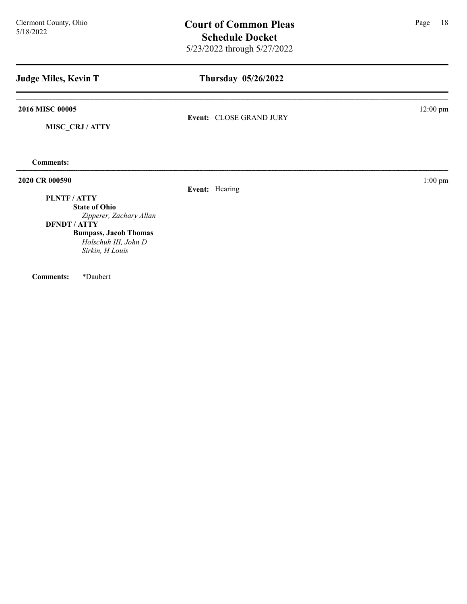| <b>Judge Miles, Kevin T</b>                                                                                                                                                         | Thursday 05/26/2022     |                    |
|-------------------------------------------------------------------------------------------------------------------------------------------------------------------------------------|-------------------------|--------------------|
| 2016 MISC 00005<br>MISC_CRJ / ATTY                                                                                                                                                  | Event: CLOSE GRAND JURY | $12:00 \text{ pm}$ |
| <b>Comments:</b>                                                                                                                                                                    |                         |                    |
| 2020 CR 000590<br>PLNTF / ATTY<br><b>State of Ohio</b><br>Zipperer, Zachary Allan<br><b>DFNDT / ATTY</b><br><b>Bumpass, Jacob Thomas</b><br>Holschuh III, John D<br>Sirkin, H Louis | Event: Hearing          | $1:00$ pm          |

Comments: \*Daubert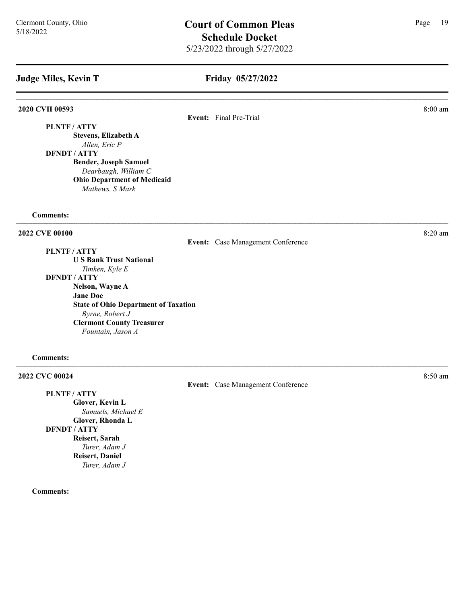## Friday 05/27/2022

#### 2020 CVH 00593 8:00 am

Event: Final Pre-Trial

PLNTF / ATTY Stevens, Elizabeth A

Allen, Eric P DFNDT / ATTY Bender, Joseph Samuel Dearbaugh, William C Ohio Department of Medicaid

Mathews, S Mark

#### Comments:

#### **2022 CVE 00100** 8:20 am **8.20 am**

PLNTF / ATTY

U S Bank Trust National Timken, Kyle E DFNDT / ATTY

Nelson, Wayne A Jane Doe State of Ohio Department of Taxation Byrne, Robert J Clermont County Treasurer Fountain, Jason A

#### Comments:

2022 CVC 00024 8:50 am 2022 CVC 00024

PLNTF / ATTY Glover, Kevin L Samuels, Michael E Glover, Rhonda L DFNDT / ATTY Reisert, Sarah Turer, Adam J Reisert, Daniel Turer, Adam J

Comments:

Event: Case Management Conference

Event: Case Management Conference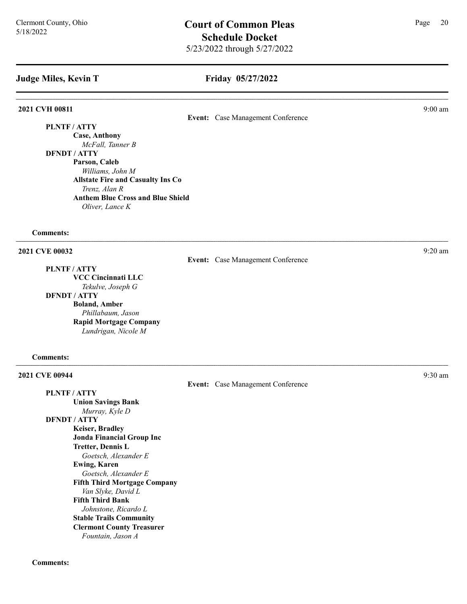#### Friday 05/27/2022

#### **2021 CVH 00811** 9:00 am 9:00 am 9:00 am 9:00 am 9:00 am 9:00 am 9:00 am 9:00 am 9:00 am 9:00 am 9:00 am 9:00 am 9:00 am 9:00 am 9:00 am 9:00 am 9:00 am 9:00 am 9:00 am 9:00 am 9:00 am 9:00 am 9:00 am 9:00 am 9:00 am 9:00

Event: Case Management Conference

PLNTF / ATTY Case, Anthony McFall, Tanner B DFNDT / ATTY Parson, Caleb Williams, John M Allstate Fire and Casualty Ins Co Trenz, Alan R Anthem Blue Cross and Blue Shield Oliver, Lance K

#### Comments:

**2021 CVE 00032** 9:20 am **9:20** 

PLNTF / ATTY

VCC Cincinnati LLC Tekulve, Joseph G DFNDT / ATTY Boland, Amber Phillabaum, Jason Rapid Mortgage Company Lundrigan, Nicole M

#### Comments:

**2021 CVE 00944** 9:30 am **9:30 am** Event: Case Management Conference PLNTF / ATTY Union Savings Bank Murray, Kyle D DFNDT / ATTY Keiser, Bradley Jonda Financial Group Inc Tretter, Dennis L Goetsch, Alexander E Ewing, Karen Goetsch, Alexander E Fifth Third Mortgage Company Van Slyke, David L Fifth Third Bank Johnstone, Ricardo L Stable Trails Community Clermont County Treasurer Fountain, Jason A

Event: Case Management Conference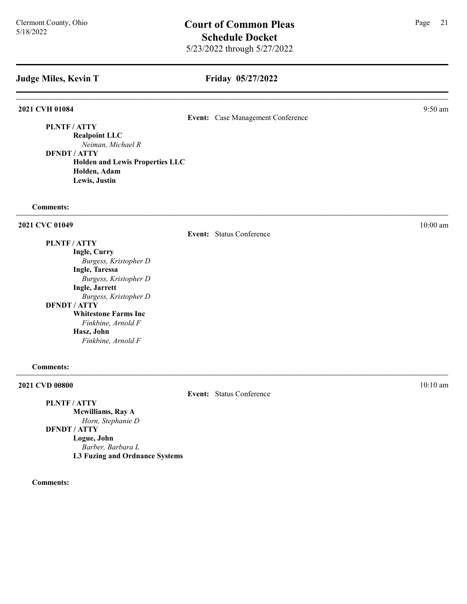## Friday 05/27/2022

### 2021 CVH 01084 9:50 am

Event: Case Management Conference

PLNTF / ATTY

Realpoint LLC Neiman, Michael R

DFNDT / ATTY Holden and Lewis Properties LLC Holden, Adam Lewis, Justin

#### Comments:

## **2021 CVC 01049** 10:00 am 10:00 am 10:00 am 10:00 am 10:00 am 10:00 am 10:00 am 10:00 am 10:00 am 10:00 am 10:00 am 10:00 am 10:00 am 10:00 am 10:00 am 10:00 am 10:00 am 10:00 am 10:00 am 10:00 am 10:00 am 10:00 am 10:00 a

Event: Status Conference

Event: Status Conference

PLNTF / ATTY Ingle, Curry Burgess, Kristopher D Ingle, Taressa Burgess, Kristopher D Ingle, Jarrett Burgess, Kristopher D DFNDT / ATTY Whitestone Farms Inc Finkbine, Arnold F Hasz, John Finkbine, Arnold F

#### Comments:

#### **2021 CVD 00800** 10:10 am **10:10 am**

PLNTF / ATTY Mcwilliams, Ray A Horn, Stephanie D DFNDT / ATTY Logue, John Barber, Barbara L L3 Fuzing and Ordnance Systems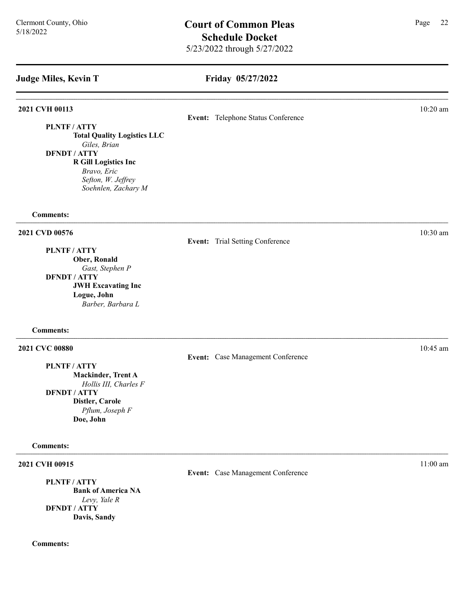## Friday 05/27/2022

## **2021 CVH 00113** 10:20 am **10:20 am**

Event: Telephone Status Conference

PLNTF / ATTY Total Quality Logistics LLC Giles, Brian DFNDT / ATTY R Gill Logistics Inc Bravo, Eric Sefton, W. Jeffrey Soehnlen, Zachary M

#### Comments:

### **2021 CVD 00576** 10:30 am **10:30 am**

PLNTF / ATTY

Ober, Ronald Gast, Stephen P DFNDT / ATTY JWH Excavating Inc Logue, John Barber, Barbara L

#### Comments:

#### **2021 CVC 00880** 10:45 am **10:45**

PLNTF / ATTY

Mackinder, Trent A Hollis III, Charles F

DFNDT / ATTY Distler, Carole

> Pflum, Joseph F Doe, John

#### Comments:

#### **2021 CVH 00915** 11:00 am **11:00 am**

PLNTF / ATTY Bank of America NA Levy, Yale R DFNDT / ATTY Davis, Sandy

Comments:

Event: Trial Setting Conference

Event: Case Management Conference

Event: Case Management Conference